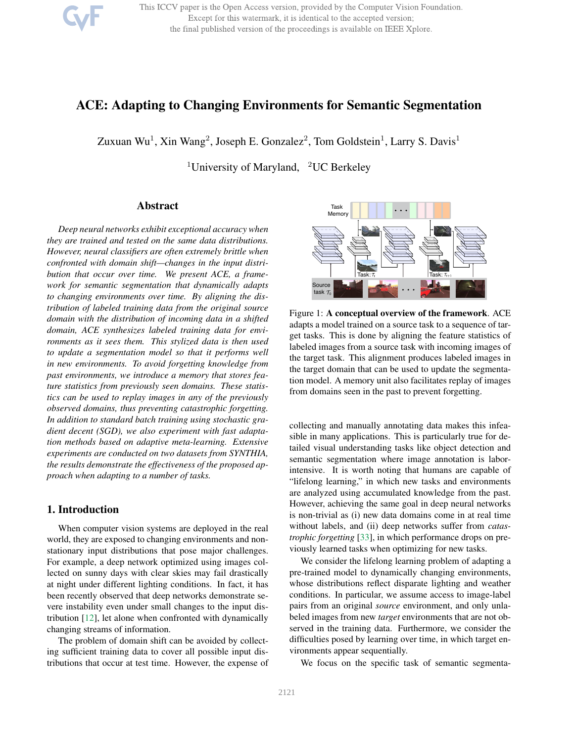This ICCV paper is the Open Access version, provided by the Computer Vision Foundation. Except for this watermark, it is identical to the accepted version; the final published version of the proceedings is available on IEEE Xplore.

# ACE: Adapting to Changing Environments for Semantic Segmentation

Zuxuan Wu<sup>1</sup>, Xin Wang<sup>2</sup>, Joseph E. Gonzalez<sup>2</sup>, Tom Goldstein<sup>1</sup>, Larry S. Davis<sup>1</sup>

<sup>1</sup>University of Maryland, <sup>2</sup>UC Berkeley

# Abstract

*Deep neural networks exhibit exceptional accuracy when they are trained and tested on the same data distributions. However, neural classifiers are often extremely brittle when confronted with domain shift—changes in the input distribution that occur over time. We present ACE, a framework for semantic segmentation that dynamically adapts to changing environments over time. By aligning the distribution of labeled training data from the original source domain with the distribution of incoming data in a shifted domain, ACE synthesizes labeled training data for environments as it sees them. This stylized data is then used to update a segmentation model so that it performs well in new environments. To avoid forgetting knowledge from past environments, we introduce a memory that stores feature statistics from previously seen domains. These statistics can be used to replay images in any of the previously observed domains, thus preventing catastrophic forgetting. In addition to standard batch training using stochastic gradient decent (SGD), we also experiment with fast adaptation methods based on adaptive meta-learning. Extensive experiments are conducted on two datasets from SYNTHIA, the results demonstrate the effectiveness of the proposed approach when adapting to a number of tasks.*

# 1. Introduction

When computer vision systems are deployed in the real world, they are exposed to changing environments and nonstationary input distributions that pose major challenges. For example, a deep network optimized using images collected on sunny days with clear skies may fail drastically at night under different lighting conditions. In fact, it has been recently observed that deep networks demonstrate severe instability even under small changes to the input distribution [12], let alone when confronted with dynamically changing streams of information.

The problem of domain shift can be avoided by collecting sufficient training data to cover all possible input distributions that occur at test time. However, the expense of



Figure 1: A conceptual overview of the framework. ACE adapts a model trained on a source task to a sequence of target tasks. This is done by aligning the feature statistics of labeled images from a source task with incoming images of the target task. This alignment produces labeled images in the target domain that can be used to update the segmentation model. A memory unit also facilitates replay of images from domains seen in the past to prevent forgetting.

collecting and manually annotating data makes this infeasible in many applications. This is particularly true for detailed visual understanding tasks like object detection and semantic segmentation where image annotation is laborintensive. It is worth noting that humans are capable of "lifelong learning," in which new tasks and environments are analyzed using accumulated knowledge from the past. However, achieving the same goal in deep neural networks is non-trivial as (i) new data domains come in at real time without labels, and (ii) deep networks suffer from *catastrophic forgetting* [33], in which performance drops on previously learned tasks when optimizing for new tasks.

We consider the lifelong learning problem of adapting a pre-trained model to dynamically changing environments, whose distributions reflect disparate lighting and weather conditions. In particular, we assume access to image-label pairs from an original *source* environment, and only unlabeled images from new *target* environments that are not observed in the training data. Furthermore, we consider the difficulties posed by learning over time, in which target environments appear sequentially.

We focus on the specific task of semantic segmenta-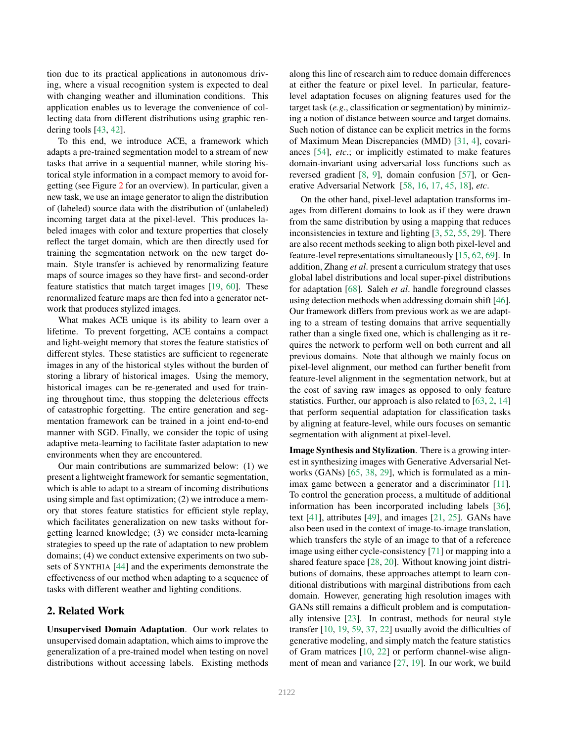tion due to its practical applications in autonomous driving, where a visual recognition system is expected to deal with changing weather and illumination conditions. This application enables us to leverage the convenience of collecting data from different distributions using graphic rendering tools [43, 42].

To this end, we introduce ACE, a framework which adapts a pre-trained segmentation model to a stream of new tasks that arrive in a sequential manner, while storing historical style information in a compact memory to avoid forgetting (see Figure 2 for an overview). In particular, given a new task, we use an image generator to align the distribution of (labeled) source data with the distribution of (unlabeled) incoming target data at the pixel-level. This produces labeled images with color and texture properties that closely reflect the target domain, which are then directly used for training the segmentation network on the new target domain. Style transfer is achieved by renormalizing feature maps of source images so they have first- and second-order feature statistics that match target images [19, 60]. These renormalized feature maps are then fed into a generator network that produces stylized images.

What makes ACE unique is its ability to learn over a lifetime. To prevent forgetting, ACE contains a compact and light-weight memory that stores the feature statistics of different styles. These statistics are sufficient to regenerate images in any of the historical styles without the burden of storing a library of historical images. Using the memory, historical images can be re-generated and used for training throughout time, thus stopping the deleterious effects of catastrophic forgetting. The entire generation and segmentation framework can be trained in a joint end-to-end manner with SGD. Finally, we consider the topic of using adaptive meta-learning to facilitate faster adaptation to new environments when they are encountered.

Our main contributions are summarized below: (1) we present a lightweight framework for semantic segmentation, which is able to adapt to a stream of incoming distributions using simple and fast optimization; (2) we introduce a memory that stores feature statistics for efficient style replay, which facilitates generalization on new tasks without forgetting learned knowledge; (3) we consider meta-learning strategies to speed up the rate of adaptation to new problem domains; (4) we conduct extensive experiments on two subsets of SYNTHIA [44] and the experiments demonstrate the effectiveness of our method when adapting to a sequence of tasks with different weather and lighting conditions.

#### 2. Related Work

Unsupervised Domain Adaptation. Our work relates to unsupervised domain adaptation, which aims to improve the generalization of a pre-trained model when testing on novel distributions without accessing labels. Existing methods

along this line of research aim to reduce domain differences at either the feature or pixel level. In particular, featurelevel adaptation focuses on aligning features used for the target task (*e.g*., classification or segmentation) by minimizing a notion of distance between source and target domains. Such notion of distance can be explicit metrics in the forms of Maximum Mean Discrepancies (MMD) [31, 4], covariances [54], *etc*.; or implicitly estimated to make features domain-invariant using adversarial loss functions such as reversed gradient [8, 9], domain confusion [57], or Generative Adversarial Network [58, 16, 17, 45, 18], *etc*.

On the other hand, pixel-level adaptation transforms images from different domains to look as if they were drawn from the same distribution by using a mapping that reduces inconsistencies in texture and lighting [3, 52, 55, 29]. There are also recent methods seeking to align both pixel-level and feature-level representations simultaneously [15, 62, 69]. In addition, Zhang *et al*. present a curriculum strategy that uses global label distributions and local super-pixel distributions for adaptation [68]. Saleh *et al*. handle foreground classes using detection methods when addressing domain shift [46]. Our framework differs from previous work as we are adapting to a stream of testing domains that arrive sequentially rather than a single fixed one, which is challenging as it requires the network to perform well on both current and all previous domains. Note that although we mainly focus on pixel-level alignment, our method can further benefit from feature-level alignment in the segmentation network, but at the cost of saving raw images as opposed to only feature statistics. Further, our approach is also related to [63, 2, 14] that perform sequential adaptation for classification tasks by aligning at feature-level, while ours focuses on semantic segmentation with alignment at pixel-level.

Image Synthesis and Stylization. There is a growing interest in synthesizing images with Generative Adversarial Networks (GANs) [65, 38, 29], which is formulated as a minimax game between a generator and a discriminator [11]. To control the generation process, a multitude of additional information has been incorporated including labels [36], text [41], attributes [49], and images [21, 25]. GANs have also been used in the context of image-to-image translation, which transfers the style of an image to that of a reference image using either cycle-consistency [71] or mapping into a shared feature space [28, 20]. Without knowing joint distributions of domains, these approaches attempt to learn conditional distributions with marginal distributions from each domain. However, generating high resolution images with GANs still remains a difficult problem and is computationally intensive [23]. In contrast, methods for neural style transfer [10, 19, 59, 37, 22] usually avoid the difficulties of generative modeling, and simply match the feature statistics of Gram matrices [10, 22] or perform channel-wise alignment of mean and variance [27, 19]. In our work, we build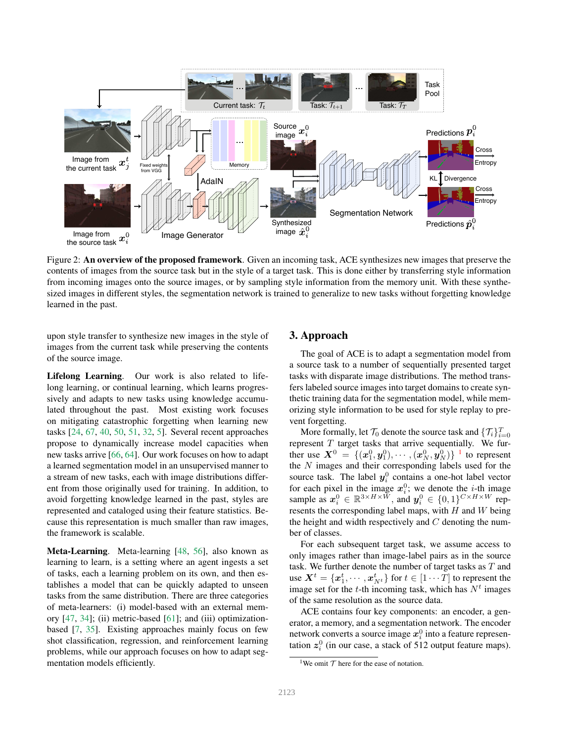

Figure 2: An overview of the proposed framework. Given an incoming task, ACE synthesizes new images that preserve the contents of images from the source task but in the style of a target task. This is done either by transferring style information from incoming images onto the source images, or by sampling style information from the memory unit. With these synthesized images in different styles, the segmentation network is trained to generalize to new tasks without forgetting knowledge learned in the past.

upon style transfer to synthesize new images in the style of images from the current task while preserving the contents of the source image.

Lifelong Learning. Our work is also related to lifelong learning, or continual learning, which learns progressively and adapts to new tasks using knowledge accumulated throughout the past. Most existing work focuses on mitigating catastrophic forgetting when learning new tasks [24, 67, 40, 50, 51, 32, 5]. Several recent approaches propose to dynamically increase model capacities when new tasks arrive [66, 64]. Our work focuses on how to adapt a learned segmentation model in an unsupervised manner to a stream of new tasks, each with image distributions different from those originally used for training. In addition, to avoid forgetting knowledge learned in the past, styles are represented and cataloged using their feature statistics. Because this representation is much smaller than raw images, the framework is scalable.

Meta-Learning. Meta-learning [48, 56], also known as learning to learn, is a setting where an agent ingests a set of tasks, each a learning problem on its own, and then establishes a model that can be quickly adapted to unseen tasks from the same distribution. There are three categories of meta-learners: (i) model-based with an external memory  $[47, 34]$ ; (ii) metric-based  $[61]$ ; and (iii) optimizationbased [7, 35]. Existing approaches mainly focus on few shot classification, regression, and reinforcement learning problems, while our approach focuses on how to adapt segmentation models efficiently.

### 3. Approach

The goal of ACE is to adapt a segmentation model from a source task to a number of sequentially presented target tasks with disparate image distributions. The method transfers labeled source images into target domains to create synthetic training data for the segmentation model, while memorizing style information to be used for style replay to prevent forgetting.

More formally, let  $\mathcal{T}_0$  denote the source task and  $\{\mathcal{T}_i\}_{i=0}^T$ represent  $T$  target tasks that arrive sequentially. We further use  $\bm{X}^0 \ = \ \{(\bm{x}^0_1, \bm{y}^0_1), \cdots, (\bm{x}^0_N, \bm{y}^0_N)\}^{-1}$  to represent the  $N$  images and their corresponding labels used for the source task. The label  $y_i^0$  contains a one-hot label vector for each pixel in the image  $x_i^0$ ; we denote the *i*-th image sample as  $x_i^0 \in \mathbb{R}^{3 \times H \times W}$ , and  $y_i^0 \in \{0, 1\}^{C \times H \times W}$  represents the corresponding label maps, with  $H$  and  $W$  being the height and width respectively and  $C$  denoting the number of classes.

For each subsequent target task, we assume access to only images rather than image-label pairs as in the source task. We further denote the number of target tasks as  $T$  and use  $\boldsymbol{X}^t = \{\boldsymbol{x}_1^t, \cdots, \boldsymbol{x}_{N^t}^t\}$  for  $t \in [1 \cdots T]$  to represent the image set for the *t*-th incoming task, which has  $N<sup>t</sup>$  images of the same resolution as the source data.

ACE contains four key components: an encoder, a generator, a memory, and a segmentation network. The encoder network converts a source image  $x_i^0$  into a feature representation  $z_i^0$  (in our case, a stack of 512 output feature maps).

<sup>&</sup>lt;sup>1</sup>We omit  $\mathcal T$  here for the ease of notation.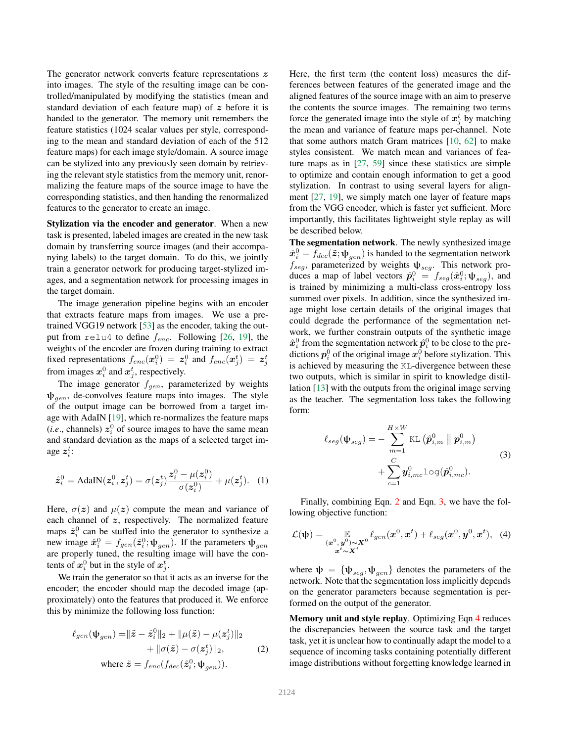The generator network converts feature representations z into images. The style of the resulting image can be controlled/manipulated by modifying the statistics (mean and standard deviation of each feature map) of  $z$  before it is handed to the generator. The memory unit remembers the feature statistics (1024 scalar values per style, corresponding to the mean and standard deviation of each of the 512 feature maps) for each image style/domain. A source image can be stylized into any previously seen domain by retrieving the relevant style statistics from the memory unit, renormalizing the feature maps of the source image to have the corresponding statistics, and then handing the renormalized features to the generator to create an image.

Stylization via the encoder and generator. When a new task is presented, labeled images are created in the new task domain by transferring source images (and their accompanying labels) to the target domain. To do this, we jointly train a generator network for producing target-stylized images, and a segmentation network for processing images in the target domain.

The image generation pipeline begins with an encoder that extracts feature maps from images. We use a pretrained VGG19 network [53] as the encoder, taking the output from relu4 to define  $f_{enc}$ . Following [26, 19], the weights of the encoder are frozen during training to extract fixed representations  $f_{enc}(\boldsymbol{x}_i^0) = \boldsymbol{z}_i^0$  and  $f_{enc}(\boldsymbol{x}_j^t) = \boldsymbol{z}_j^t$ from images  $x_i^0$  and  $x_j^t$ , respectively.

The image generator  $f_{gen}$ , parameterized by weights  $\psi_{gen}$ , de-convolves feature maps into images. The style of the output image can be borrowed from a target image with AdaIN [19], which re-normalizes the feature maps  $(i.e., channels) z_i^0$  of source images to have the same mean and standard deviation as the maps of a selected target image  $z_i^t$ :

$$
\hat{z}_i^0 = \text{AdaIN}(z_i^0, z_j^t) = \sigma(z_j^t) \frac{z_i^0 - \mu(z_i^0)}{\sigma(z_i^0)} + \mu(z_j^t). \tag{1}
$$

Here,  $\sigma(z)$  and  $\mu(z)$  compute the mean and variance of each channel of z, respectively. The normalized feature maps  $\hat{z}_i^0$  can be stuffed into the generator to synthesize a new image  $\hat{x}_i^0 = f_{gen}(\hat{z}_i^0; \psi_{gen})$ . If the parameters  $\psi_{gen}$ are properly tuned, the resulting image will have the contents of  $x_i^0$  but in the style of  $x_j^t$ .

We train the generator so that it acts as an inverse for the encoder; the encoder should map the decoded image (approximately) onto the features that produced it. We enforce this by minimize the following loss function:

$$
\ell_{gen}(\Psi_{gen}) = ||\tilde{z} - \hat{z}_i^0||_2 + ||\mu(\tilde{z}) - \mu(z_j^t)||_2
$$
  
+ 
$$
||\sigma(\tilde{z}) - \sigma(z_j^t)||_2,
$$
 (2)  
where 
$$
\tilde{z} = f_{enc}(f_{dec}(\hat{z}_i^0; \Psi_{gen})).
$$

Here, the first term (the content loss) measures the differences between features of the generated image and the aligned features of the source image with an aim to preserve the contents the source images. The remaining two terms force the generated image into the style of  $x_j^t$  by matching the mean and variance of feature maps per-channel. Note that some authors match Gram matrices  $[10, 62]$  to make styles consistent. We match mean and variances of feature maps as in  $[27, 59]$  since these statistics are simple to optimize and contain enough information to get a good stylization. In contrast to using several layers for alignment [27, 19], we simply match one layer of feature maps from the VGG encoder, which is faster yet sufficient. More importantly, this facilitates lightweight style replay as will be described below.

The segmentation network. The newly synthesized image  $\hat{\boldsymbol{x}}_i^0 = f_{dec}(\tilde{\boldsymbol{z}}; \boldsymbol{\psi}_{gen})$  is handed to the segmentation network  $f_{seg}$ , parameterized by weights  $\psi_{seg}$ . This network produces a map of label vectors  $\hat{p}_i^0 = f_{seg}(\hat{x}_i^0; \psi_{seg})$ , and is trained by minimizing a multi-class cross-entropy loss summed over pixels. In addition, since the synthesized image might lose certain details of the original images that could degrade the performance of the segmentation network, we further constrain outputs of the synthetic image  $\hat{\boldsymbol{x}}_i^0$  from the segmentation network  $\hat{\boldsymbol{p}}_i^0$  to be close to the predictions  $p_i^0$  of the original image  $x_i^0$  before stylization. This is achieved by measuring the KL-divergence between these two outputs, which is similar in spirit to knowledge distillation [13] with the outputs from the original image serving as the teacher. The segmentation loss takes the following form:

$$
\ell_{seg}(\Psi_{seg}) = -\sum_{m=1}^{H \times W} \text{KL}(\hat{\boldsymbol{p}}_{i,m}^0 \parallel \boldsymbol{p}_{i,m}^0)
$$

$$
+ \sum_{c=1}^{C} \boldsymbol{y}_{i,mc}^0 \log(\hat{\boldsymbol{p}}_{i,mc}^0).
$$
(3)

Finally, combining Eqn. 2 and Eqn. 3, we have the following objective function:

$$
\mathcal{L}(\psi) = \mathop{\mathbb{E}}_{\substack{(\boldsymbol{x}^0, \boldsymbol{y}^0) \sim \mathbf{X}^0 \\ \boldsymbol{x}^t \sim \mathbf{X}^t}} \ell_{gen}(\boldsymbol{x}^0, \boldsymbol{x}^t) + \ell_{seg}(\boldsymbol{x}^0, \boldsymbol{y}^0, \boldsymbol{x}^t), \tag{4}
$$

where  $\psi = {\psi_{seg}, \psi_{gen}}$  denotes the parameters of the network. Note that the segmentation loss implicitly depends on the generator parameters because segmentation is performed on the output of the generator.

Memory unit and style replay. Optimizing Eqn 4 reduces the discrepancies between the source task and the target task, yet it is unclear how to continually adapt the model to a sequence of incoming tasks containing potentially different image distributions without forgetting knowledge learned in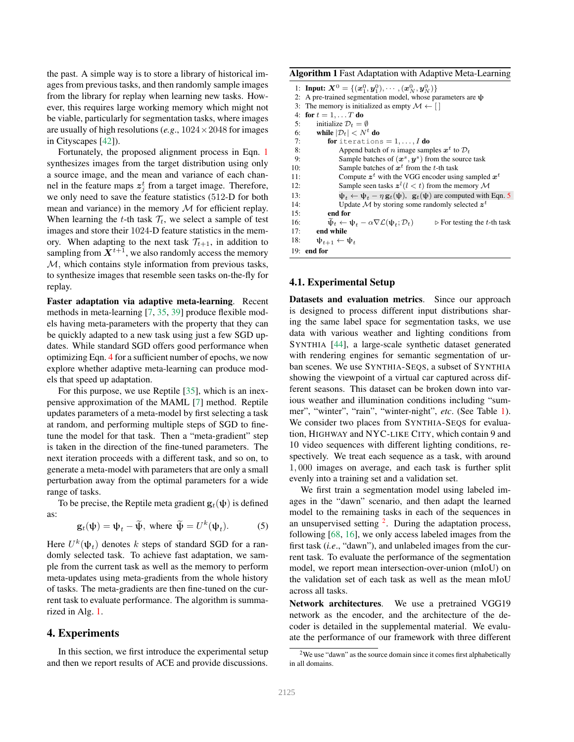the past. A simple way is to store a library of historical images from previous tasks, and then randomly sample images from the library for replay when learning new tasks. However, this requires large working memory which might not be viable, particularly for segmentation tasks, where images are usually of high resolutions (*e.g.*,  $1024 \times 2048$  for images in Cityscapes [42]).

Fortunately, the proposed alignment process in Eqn. 1 synthesizes images from the target distribution using only a source image, and the mean and variance of each channel in the feature maps  $z_j^t$  from a target image. Therefore, we only need to save the feature statistics (512-D for both mean and variance) in the memory  $M$  for efficient replay. When learning the t-th task  $\mathcal{T}_t$ , we select a sample of test images and store their 1024-D feature statistics in the memory. When adapting to the next task  $\mathcal{T}_{t+1}$ , in addition to sampling from  $X^{t+1}$ , we also randomly access the memory  $M$ , which contains style information from previous tasks, to synthesize images that resemble seen tasks on-the-fly for replay.

Faster adaptation via adaptive meta-learning. Recent methods in meta-learning [7, 35, 39] produce flexible models having meta-parameters with the property that they can be quickly adapted to a new task using just a few SGD updates. While standard SGD offers good performance when optimizing Eqn. 4 for a sufficient number of epochs, we now explore whether adaptive meta-learning can produce models that speed up adaptation.

For this purpose, we use Reptile [35], which is an inexpensive approximation of the MAML [7] method. Reptile updates parameters of a meta-model by first selecting a task at random, and performing multiple steps of SGD to finetune the model for that task. Then a "meta-gradient" step is taken in the direction of the fine-tuned parameters. The next iteration proceeds with a different task, and so on, to generate a meta-model with parameters that are only a small perturbation away from the optimal parameters for a wide range of tasks.

To be precise, the Reptile meta gradient  $\mathbf{g}_t(\psi)$  is defined as:

$$
\mathbf{g}_t(\mathbf{\psi}) = \mathbf{\psi}_t - \widetilde{\mathbf{\psi}}, \text{ where } \widetilde{\mathbf{\psi}} = U^k(\mathbf{\psi}_t). \tag{5}
$$

Here  $U^k(\Psi_t)$  denotes k steps of standard SGD for a randomly selected task. To achieve fast adaptation, we sample from the current task as well as the memory to perform meta-updates using meta-gradients from the whole history of tasks. The meta-gradients are then fine-tuned on the current task to evaluate performance. The algorithm is summarized in Alg. 1.

#### 4. Experiments

In this section, we first introduce the experimental setup and then we report results of ACE and provide discussions.

Algorithm 1 Fast Adaptation with Adaptive Meta-Learning

|     | 1: <b>Input:</b> $X^0 = \{ (x_1^0, y_1^0), \cdots, (x_N^0, y_N^0) \}$                                                                   |
|-----|-----------------------------------------------------------------------------------------------------------------------------------------|
|     | 2: A pre-trained segmentation model, whose parameters are $\psi$                                                                        |
|     | 3: The memory is initialized as empty $\mathcal{M} \leftarrow [$                                                                        |
|     | 4: for $t = 1, , T$ do                                                                                                                  |
| 5:  | initialize $\mathcal{D}_t = \emptyset$                                                                                                  |
|     | 6: while $ \mathcal{D}_t  < N^t$ do                                                                                                     |
| 7:  | <b>for</b> iterations = $1, \ldots, I$ <b>do</b>                                                                                        |
| 8:  | Append batch of <i>n</i> image samples $x^t$ to $\mathcal{D}_t$                                                                         |
| 9:  | Sample batches of $(x^s, y^s)$ from the source task                                                                                     |
| 10: | Sample batches of $x^t$ from the t-th task                                                                                              |
| 11: | Compute $z^t$ with the VGG encoder using sampled $x^t$                                                                                  |
| 12: | Sample seen tasks $z^{l}$ ( $l < t$ ) from the memory M                                                                                 |
| 13: | $\psi_t \leftarrow \psi_t - \eta \mathbf{g}_t(\psi)$ , $\mathbf{g}_t(\psi)$ are computed with Eqn. 5                                    |
| 14: | Update M by storing some randomly selected $zt$                                                                                         |
| 15: | end for                                                                                                                                 |
| 16: | $\widetilde{\psi}_t \leftarrow \psi_t - \alpha \nabla \mathcal{L}(\psi_t; \mathcal{D}_t)$<br>$\triangleright$ For testing the t-th task |
| 17: | end while                                                                                                                               |
| 18: | $\Psi_{t+1} \leftarrow \Psi_t$                                                                                                          |
|     | $19:$ end for                                                                                                                           |

## 4.1. Experimental Setup

Datasets and evaluation metrics. Since our approach is designed to process different input distributions sharing the same label space for segmentation tasks, we use data with various weather and lighting conditions from SYNTHIA [44], a large-scale synthetic dataset generated with rendering engines for semantic segmentation of urban scenes. We use SYNTHIA-SEQS, a subset of SYNTHIA showing the viewpoint of a virtual car captured across different seasons. This dataset can be broken down into various weather and illumination conditions including "summer", "winter", "rain", "winter-night", *etc*. (See Table 1). We consider two places from SYNTHIA-SEQS for evaluation, HIGHWAY and NYC-LIKE CITY, which contain 9 and 10 video sequences with different lighting conditions, respectively. We treat each sequence as a task, with around 1, 000 images on average, and each task is further split evenly into a training set and a validation set.

We first train a segmentation model using labeled images in the "dawn" scenario, and then adapt the learned model to the remaining tasks in each of the sequences in an unsupervised setting  $2$ . During the adaptation process, following [68, 16], we only access labeled images from the first task (*i.e*., "dawn"), and unlabeled images from the current task. To evaluate the performance of the segmentation model, we report mean intersection-over-union (mIoU) on the validation set of each task as well as the mean mIoU across all tasks.

Network architectures. We use a pretrained VGG19 network as the encoder, and the architecture of the decoder is detailed in the supplemental material. We evaluate the performance of our framework with three different

<sup>&</sup>lt;sup>2</sup>We use "dawn" as the source domain since it comes first alphabetically in all domains.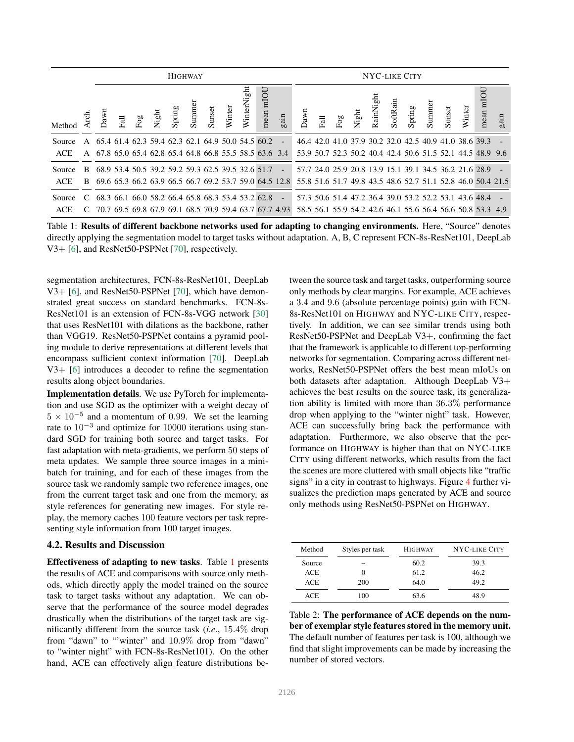|        | <b>HIGHWAY</b> |  |  |  |  |  |  | NYC-LIKE CITY                                                                     |   |                                                          |                          |      |  |             |       |                   |  |  |                              |                                                        |        |                                                             |      |
|--------|----------------|--|--|--|--|--|--|-----------------------------------------------------------------------------------|---|----------------------------------------------------------|--------------------------|------|--|-------------|-------|-------------------|--|--|------------------------------|--------------------------------------------------------|--------|-------------------------------------------------------------|------|
| Method | -ed.<br>E      |  |  |  |  |  |  | Dawn<br>Fall<br>Night<br>Spring<br>Summer<br>Summer<br>Winter<br>Winter<br>Winter | 녊 | nean mIOU                                                | $\sin$                   | Dawn |  | Fall<br>Fog | Night | 品<br>.<br>RainNig |  |  | SoftRain<br>Spring<br>Summer | Sunset                                                 | Winter | mean mIOU                                                   | gain |
| Source |                |  |  |  |  |  |  |                                                                                   |   | A 65.4 61.4 62.3 59.4 62.3 62.1 64.9 50.0 54.5 60.2      | $\overline{a}$           |      |  |             |       |                   |  |  |                              | 46.4 42.0 41.0 37.9 30.2 32.0 42.5 40.9 41.0 38.6 39.3 |        |                                                             |      |
| ACE    |                |  |  |  |  |  |  |                                                                                   |   | A 67.8 65.0 65.4 62.8 65.4 64.8 66.8 55.5 58.5 63.6 3.4  |                          |      |  |             |       |                   |  |  |                              |                                                        |        | 53.9 50.7 52.3 50.2 40.4 42.4 50.6 51.5 52.1 44.5 48.9 9.6  |      |
| Source |                |  |  |  |  |  |  |                                                                                   |   | B 68.9 53.4 50.5 39.2 59.2 59.3 62.5 39.5 32.6 51.7      | $\sim$                   |      |  |             |       |                   |  |  |                              |                                                        |        | 57.7 24.0 25.9 20.8 13.9 15.1 39.1 34.5 36.2 21.6 28.9      |      |
| ACE    |                |  |  |  |  |  |  |                                                                                   |   | B 69.6 65.3 66.2 63.9 66.5 66.7 69.2 53.7 59.0 64.5 12.8 |                          |      |  |             |       |                   |  |  |                              |                                                        |        | 55.8 51.6 51.7 49.8 43.5 48.6 52.7 51.1 52.8 46.0 50.4 21.5 |      |
| Source | C              |  |  |  |  |  |  |                                                                                   |   | 68.3 66.1 66.0 58.2 66.4 65.8 68.3 53.4 53.2 62.8        | $\overline{\phantom{0}}$ |      |  |             |       |                   |  |  |                              | 57.3 50.6 51.4 47.2 36.4 39.0 53.2 52.2 53.1 43.6 48.4 |        |                                                             |      |
| ACE    | $\mathcal{C}$  |  |  |  |  |  |  |                                                                                   |   | 70.7 69.5 69.8 67.9 69.1 68.5 70.9 59.4 63.7 67.7 4.93   |                          |      |  |             |       |                   |  |  |                              |                                                        |        | 58.5 56.1 55.9 54.2 42.6 46.1 55.6 56.4 56.6 50.8 53.3 4.9  |      |

Table 1: Results of different backbone networks used for adapting to changing environments. Here, "Source" denotes directly applying the segmentation model to target tasks without adaptation. A, B, C represent FCN-8s-ResNet101, DeepLab V3+ [6], and ResNet50-PSPNet [70], respectively.

segmentation architectures, FCN-8s-ResNet101, DeepLab V3+ [6], and ResNet50-PSPNet [70], which have demonstrated great success on standard benchmarks. FCN-8s-ResNet101 is an extension of FCN-8s-VGG network [30] that uses ResNet101 with dilations as the backbone, rather than VGG19. ResNet50-PSPNet contains a pyramid pooling module to derive representations at different levels that encompass sufficient context information [70]. DeepLab V3+ [6] introduces a decoder to refine the segmentation results along object boundaries.

Implementation details. We use PyTorch for implementation and use SGD as the optimizer with a weight decay of  $5 \times 10^{-5}$  and a momentum of 0.99. We set the learning rate to 10<sup>−</sup><sup>3</sup> and optimize for 10000 iterations using standard SGD for training both source and target tasks. For fast adaptation with meta-gradients, we perform 50 steps of meta updates. We sample three source images in a minibatch for training, and for each of these images from the source task we randomly sample two reference images, one from the current target task and one from the memory, as style references for generating new images. For style replay, the memory caches 100 feature vectors per task representing style information from 100 target images.

#### 4.2. Results and Discussion

Effectiveness of adapting to new tasks. Table 1 presents the results of ACE and comparisons with source only methods, which directly apply the model trained on the source task to target tasks without any adaptation. We can observe that the performance of the source model degrades drastically when the distributions of the target task are significantly different from the source task (*i.e*., 15.4% drop from "dawn" to "'winter" and 10.9% drop from "dawn" to "winter night" with FCN-8s-ResNet101). On the other hand, ACE can effectively align feature distributions between the source task and target tasks, outperforming source only methods by clear margins. For example, ACE achieves a 3.4 and 9.6 (absolute percentage points) gain with FCN-8s-ResNet101 on HIGHWAY and NYC-LIKE CITY, respectively. In addition, we can see similar trends using both ResNet50-PSPNet and DeepLab V3+, confirming the fact that the framework is applicable to different top-performing networks for segmentation. Comparing across different networks, ResNet50-PSPNet offers the best mean mIoUs on both datasets after adaptation. Although DeepLab V3+ achieves the best results on the source task, its generalization ability is limited with more than 36.3% performance drop when applying to the "winter night" task. However, ACE can successfully bring back the performance with adaptation. Furthermore, we also observe that the performance on HIGHWAY is higher than that on NYC-LIKE CITY using different networks, which results from the fact the scenes are more cluttered with small objects like "traffic signs" in a city in contrast to highways. Figure 4 further visualizes the prediction maps generated by ACE and source only methods using ResNet50-PSPNet on HIGHWAY.

| Method     | Styles per task | <b>HIGHWAY</b> | NYC-LIKE CITY |  |  |  |  |
|------------|-----------------|----------------|---------------|--|--|--|--|
| Source     |                 | 60.2           | 39.3          |  |  |  |  |
| <b>ACE</b> | $\Omega$        | 61.2           | 46.2          |  |  |  |  |
| <b>ACE</b> | 200             | 64.0           | 49.2          |  |  |  |  |
| <b>ACE</b> | 100             | 63.6           | 48.9          |  |  |  |  |

Table 2: The performance of ACE depends on the number of exemplar style features stored in the memory unit. The default number of features per task is 100, although we find that slight improvements can be made by increasing the number of stored vectors.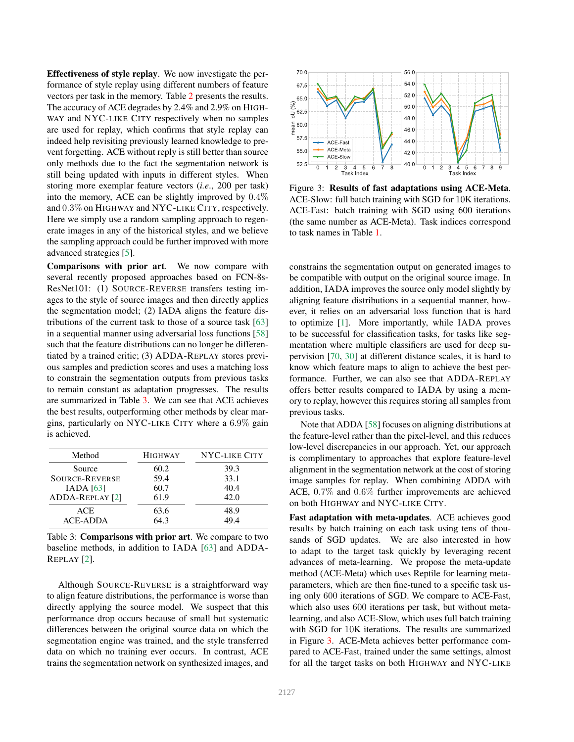Effectiveness of style replay. We now investigate the performance of style replay using different numbers of feature vectors per task in the memory. Table 2 presents the results. The accuracy of ACE degrades by 2.4% and 2.9% on HIGH-WAY and NYC-LIKE CITY respectively when no samples are used for replay, which confirms that style replay can indeed help revisiting previously learned knowledge to prevent forgetting. ACE without reply is still better than source only methods due to the fact the segmentation network is still being updated with inputs in different styles. When storing more exemplar feature vectors (*i.e*., 200 per task) into the memory, ACE can be slightly improved by 0.4% and 0.3% on HIGHWAY and NYC-LIKE CITY, respectively. Here we simply use a random sampling approach to regenerate images in any of the historical styles, and we believe the sampling approach could be further improved with more advanced strategies [5].

Comparisons with prior art. We now compare with several recently proposed approaches based on FCN-8s-ResNet101: (1) SOURCE-REVERSE transfers testing images to the style of source images and then directly applies the segmentation model; (2) IADA aligns the feature distributions of the current task to those of a source task [63] in a sequential manner using adversarial loss functions [58] such that the feature distributions can no longer be differentiated by a trained critic; (3) ADDA-REPLAY stores previous samples and prediction scores and uses a matching loss to constrain the segmentation outputs from previous tasks to remain constant as adaptation progresses. The results are summarized in Table 3. We can see that ACE achieves the best results, outperforming other methods by clear margins, particularly on NYC-LIKE CITY where a 6.9% gain is achieved.

| Method                        | <b>HIGHWAY</b> | NYC-LIKE CITY |  |  |  |  |  |
|-------------------------------|----------------|---------------|--|--|--|--|--|
| Source                        | 60.2           | 39.3          |  |  |  |  |  |
| <b>SOURCE-REVERSE</b>         | 59.4           | 33.1          |  |  |  |  |  |
| IADA [63]                     | 60.7           | 40.4          |  |  |  |  |  |
| ADDA-REPLAY [2]               | 61.9           | 42.0          |  |  |  |  |  |
| <b>ACE</b><br><b>ACE-ADDA</b> | 63.6<br>64.3   | 48.9<br>494   |  |  |  |  |  |

Table 3: Comparisons with prior art. We compare to two baseline methods, in addition to IADA [63] and ADDA-REPLAY [2].

Although SOURCE-REVERSE is a straightforward way to align feature distributions, the performance is worse than directly applying the source model. We suspect that this performance drop occurs because of small but systematic differences between the original source data on which the segmentation engine was trained, and the style transferred data on which no training ever occurs. In contrast, ACE trains the segmentation network on synthesized images, and



Figure 3: Results of fast adaptations using ACE-Meta. ACE-Slow: full batch training with SGD for 10K iterations. ACE-Fast: batch training with SGD using 600 iterations (the same number as ACE-Meta). Task indices correspond to task names in Table 1.

constrains the segmentation output on generated images to be compatible with output on the original source image. In addition, IADA improves the source only model slightly by aligning feature distributions in a sequential manner, however, it relies on an adversarial loss function that is hard to optimize [1]. More importantly, while IADA proves to be successful for classification tasks, for tasks like segmentation where multiple classifiers are used for deep supervision [70, 30] at different distance scales, it is hard to know which feature maps to align to achieve the best performance. Further, we can also see that ADDA-REPLAY offers better results compared to IADA by using a memory to replay, however this requires storing all samples from previous tasks.

Note that ADDA [58] focuses on aligning distributions at the feature-level rather than the pixel-level, and this reduces low-level discrepancies in our approach. Yet, our approach is complimentary to approaches that explore feature-level alignment in the segmentation network at the cost of storing image samples for replay. When combining ADDA with ACE, 0.7% and 0.6% further improvements are achieved on both HIGHWAY and NYC-LIKE CITY.

Fast adaptation with meta-updates. ACE achieves good results by batch training on each task using tens of thousands of SGD updates. We are also interested in how to adapt to the target task quickly by leveraging recent advances of meta-learning. We propose the meta-update method (ACE-Meta) which uses Reptile for learning metaparameters, which are then fine-tuned to a specific task using only 600 iterations of SGD. We compare to ACE-Fast, which also uses 600 iterations per task, but without metalearning, and also ACE-Slow, which uses full batch training with SGD for 10K iterations. The results are summarized in Figure 3. ACE-Meta achieves better performance compared to ACE-Fast, trained under the same settings, almost for all the target tasks on both HIGHWAY and NYC-LIKE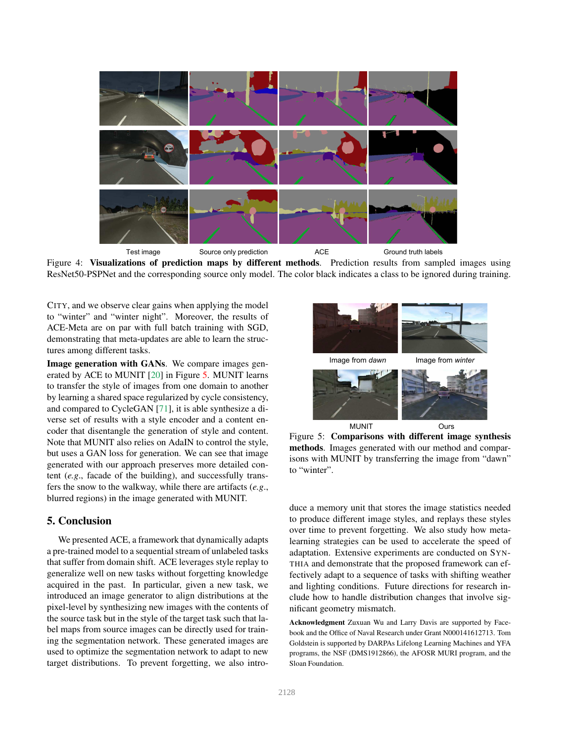

Figure 4: Visualizations of prediction maps by different methods. Prediction results from sampled images using ResNet50-PSPNet and the corresponding source only model. The color black indicates a class to be ignored during training.

CITY, and we observe clear gains when applying the model to "winter" and "winter night". Moreover, the results of ACE-Meta are on par with full batch training with SGD, demonstrating that meta-updates are able to learn the structures among different tasks.

Image generation with GANs. We compare images generated by ACE to MUNIT [20] in Figure 5. MUNIT learns to transfer the style of images from one domain to another by learning a shared space regularized by cycle consistency, and compared to CycleGAN [71], it is able synthesize a diverse set of results with a style encoder and a content encoder that disentangle the generation of style and content. Note that MUNIT also relies on AdaIN to control the style, but uses a GAN loss for generation. We can see that image generated with our approach preserves more detailed content (*e.g*., facade of the building), and successfully transfers the snow to the walkway, while there are artifacts (*e.g*., blurred regions) in the image generated with MUNIT.

#### 5. Conclusion

We presented ACE, a framework that dynamically adapts a pre-trained model to a sequential stream of unlabeled tasks that suffer from domain shift. ACE leverages style replay to generalize well on new tasks without forgetting knowledge acquired in the past. In particular, given a new task, we introduced an image generator to align distributions at the pixel-level by synthesizing new images with the contents of the source task but in the style of the target task such that label maps from source images can be directly used for training the segmentation network. These generated images are used to optimize the segmentation network to adapt to new target distributions. To prevent forgetting, we also intro-



Figure 5: Comparisons with different image synthesis methods. Images generated with our method and comparisons with MUNIT by transferring the image from "dawn" to "winter".

duce a memory unit that stores the image statistics needed to produce different image styles, and replays these styles over time to prevent forgetting. We also study how metalearning strategies can be used to accelerate the speed of adaptation. Extensive experiments are conducted on SYN-THIA and demonstrate that the proposed framework can effectively adapt to a sequence of tasks with shifting weather and lighting conditions. Future directions for research include how to handle distribution changes that involve significant geometry mismatch.

Acknowledgment Zuxuan Wu and Larry Davis are supported by Facebook and the Office of Naval Research under Grant N000141612713. Tom Goldstein is supported by DARPAs Lifelong Learning Machines and YFA programs, the NSF (DMS1912866), the AFOSR MURI program, and the Sloan Foundation.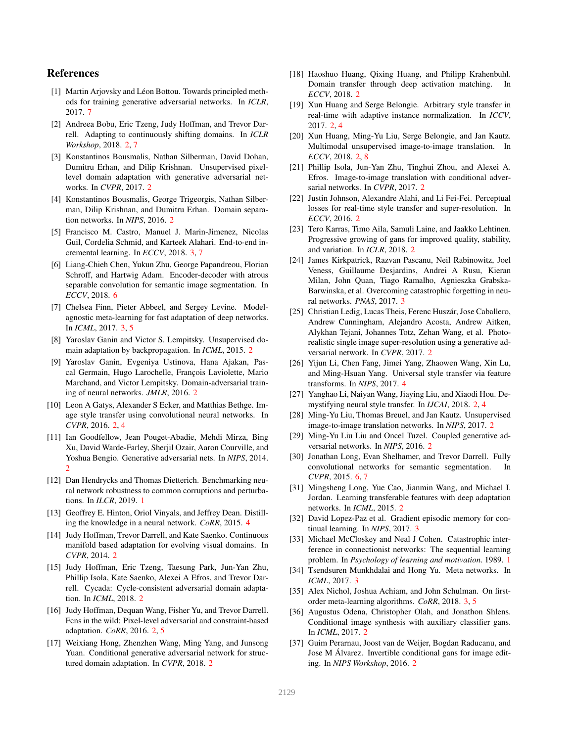### References

- [1] Martin Arjovsky and Léon Bottou. Towards principled methods for training generative adversarial networks. In *ICLR*, 2017. 7
- [2] Andreea Bobu, Eric Tzeng, Judy Hoffman, and Trevor Darrell. Adapting to continuously shifting domains. In *ICLR Workshop*, 2018. 2, 7
- [3] Konstantinos Bousmalis, Nathan Silberman, David Dohan, Dumitru Erhan, and Dilip Krishnan. Unsupervised pixellevel domain adaptation with generative adversarial networks. In *CVPR*, 2017. 2
- [4] Konstantinos Bousmalis, George Trigeorgis, Nathan Silberman, Dilip Krishnan, and Dumitru Erhan. Domain separation networks. In *NIPS*, 2016. 2
- [5] Francisco M. Castro, Manuel J. Marin-Jimenez, Nicolas Guil, Cordelia Schmid, and Karteek Alahari. End-to-end incremental learning. In *ECCV*, 2018. 3, 7
- [6] Liang-Chieh Chen, Yukun Zhu, George Papandreou, Florian Schroff, and Hartwig Adam. Encoder-decoder with atrous separable convolution for semantic image segmentation. In *ECCV*, 2018. 6
- [7] Chelsea Finn, Pieter Abbeel, and Sergey Levine. Modelagnostic meta-learning for fast adaptation of deep networks. In *ICML*, 2017. 3, 5
- [8] Yaroslav Ganin and Victor S. Lempitsky. Unsupervised domain adaptation by backpropagation. In *ICML*, 2015. 2
- [9] Yaroslav Ganin, Evgeniya Ustinova, Hana Ajakan, Pascal Germain, Hugo Larochelle, François Laviolette, Mario Marchand, and Victor Lempitsky. Domain-adversarial training of neural networks. *JMLR*, 2016. 2
- [10] Leon A Gatys, Alexander S Ecker, and Matthias Bethge. Image style transfer using convolutional neural networks. In *CVPR*, 2016. 2, 4
- [11] Ian Goodfellow, Jean Pouget-Abadie, Mehdi Mirza, Bing Xu, David Warde-Farley, Sherjil Ozair, Aaron Courville, and Yoshua Bengio. Generative adversarial nets. In *NIPS*, 2014. 2
- [12] Dan Hendrycks and Thomas Dietterich. Benchmarking neural network robustness to common corruptions and perturbations. In *ILCR*, 2019. 1
- [13] Geoffrey E. Hinton, Oriol Vinyals, and Jeffrey Dean. Distilling the knowledge in a neural network. *CoRR*, 2015. 4
- [14] Judy Hoffman, Trevor Darrell, and Kate Saenko. Continuous manifold based adaptation for evolving visual domains. In *CVPR*, 2014. 2
- [15] Judy Hoffman, Eric Tzeng, Taesung Park, Jun-Yan Zhu, Phillip Isola, Kate Saenko, Alexei A Efros, and Trevor Darrell. Cycada: Cycle-consistent adversarial domain adaptation. In *ICML*, 2018. 2
- [16] Judy Hoffman, Dequan Wang, Fisher Yu, and Trevor Darrell. Fcns in the wild: Pixel-level adversarial and constraint-based adaptation. *CoRR*, 2016. 2, 5
- [17] Weixiang Hong, Zhenzhen Wang, Ming Yang, and Junsong Yuan. Conditional generative adversarial network for structured domain adaptation. In *CVPR*, 2018. 2
- [18] Haoshuo Huang, Qixing Huang, and Philipp Krahenbuhl. Domain transfer through deep activation matching. In *ECCV*, 2018. 2
- [19] Xun Huang and Serge Belongie. Arbitrary style transfer in real-time with adaptive instance normalization. In *ICCV*, 2017. 2, 4
- [20] Xun Huang, Ming-Yu Liu, Serge Belongie, and Jan Kautz. Multimodal unsupervised image-to-image translation. In *ECCV*, 2018. 2, 8
- [21] Phillip Isola, Jun-Yan Zhu, Tinghui Zhou, and Alexei A. Efros. Image-to-image translation with conditional adversarial networks. In *CVPR*, 2017. 2
- [22] Justin Johnson, Alexandre Alahi, and Li Fei-Fei. Perceptual losses for real-time style transfer and super-resolution. In *ECCV*, 2016. 2
- [23] Tero Karras, Timo Aila, Samuli Laine, and Jaakko Lehtinen. Progressive growing of gans for improved quality, stability, and variation. In *ICLR*, 2018. 2
- [24] James Kirkpatrick, Razvan Pascanu, Neil Rabinowitz, Joel Veness, Guillaume Desjardins, Andrei A Rusu, Kieran Milan, John Quan, Tiago Ramalho, Agnieszka Grabska-Barwinska, et al. Overcoming catastrophic forgetting in neural networks. *PNAS*, 2017. 3
- [25] Christian Ledig, Lucas Theis, Ferenc Huszár, Jose Caballero, Andrew Cunningham, Alejandro Acosta, Andrew Aitken, Alykhan Tejani, Johannes Totz, Zehan Wang, et al. Photorealistic single image super-resolution using a generative adversarial network. In *CVPR*, 2017. 2
- [26] Yijun Li, Chen Fang, Jimei Yang, Zhaowen Wang, Xin Lu, and Ming-Hsuan Yang. Universal style transfer via feature transforms. In *NIPS*, 2017. 4
- [27] Yanghao Li, Naiyan Wang, Jiaying Liu, and Xiaodi Hou. Demystifying neural style transfer. In *IJCAI*, 2018. 2, 4
- [28] Ming-Yu Liu, Thomas Breuel, and Jan Kautz. Unsupervised image-to-image translation networks. In *NIPS*, 2017. 2
- [29] Ming-Yu Liu Liu and Oncel Tuzel. Coupled generative adversarial networks. In *NIPS*, 2016. 2
- [30] Jonathan Long, Evan Shelhamer, and Trevor Darrell. Fully convolutional networks for semantic segmentation. In *CVPR*, 2015. 6, 7
- [31] Mingsheng Long, Yue Cao, Jianmin Wang, and Michael I. Jordan. Learning transferable features with deep adaptation networks. In *ICML*, 2015. 2
- [32] David Lopez-Paz et al. Gradient episodic memory for continual learning. In *NIPS*, 2017. 3
- [33] Michael McCloskey and Neal J Cohen. Catastrophic interference in connectionist networks: The sequential learning problem. In *Psychology of learning and motivation*. 1989. 1
- [34] Tsendsuren Munkhdalai and Hong Yu. Meta networks. In *ICML*, 2017. 3
- [35] Alex Nichol, Joshua Achiam, and John Schulman. On firstorder meta-learning algorithms. *CoRR*, 2018. 3, 5
- [36] Augustus Odena, Christopher Olah, and Jonathon Shlens. Conditional image synthesis with auxiliary classifier gans. In *ICML*, 2017. 2
- [37] Guim Perarnau, Joost van de Weijer, Bogdan Raducanu, and Jose M Alvarez. Invertible conditional gans for image edit- ´ ing. In *NIPS Workshop*, 2016. 2